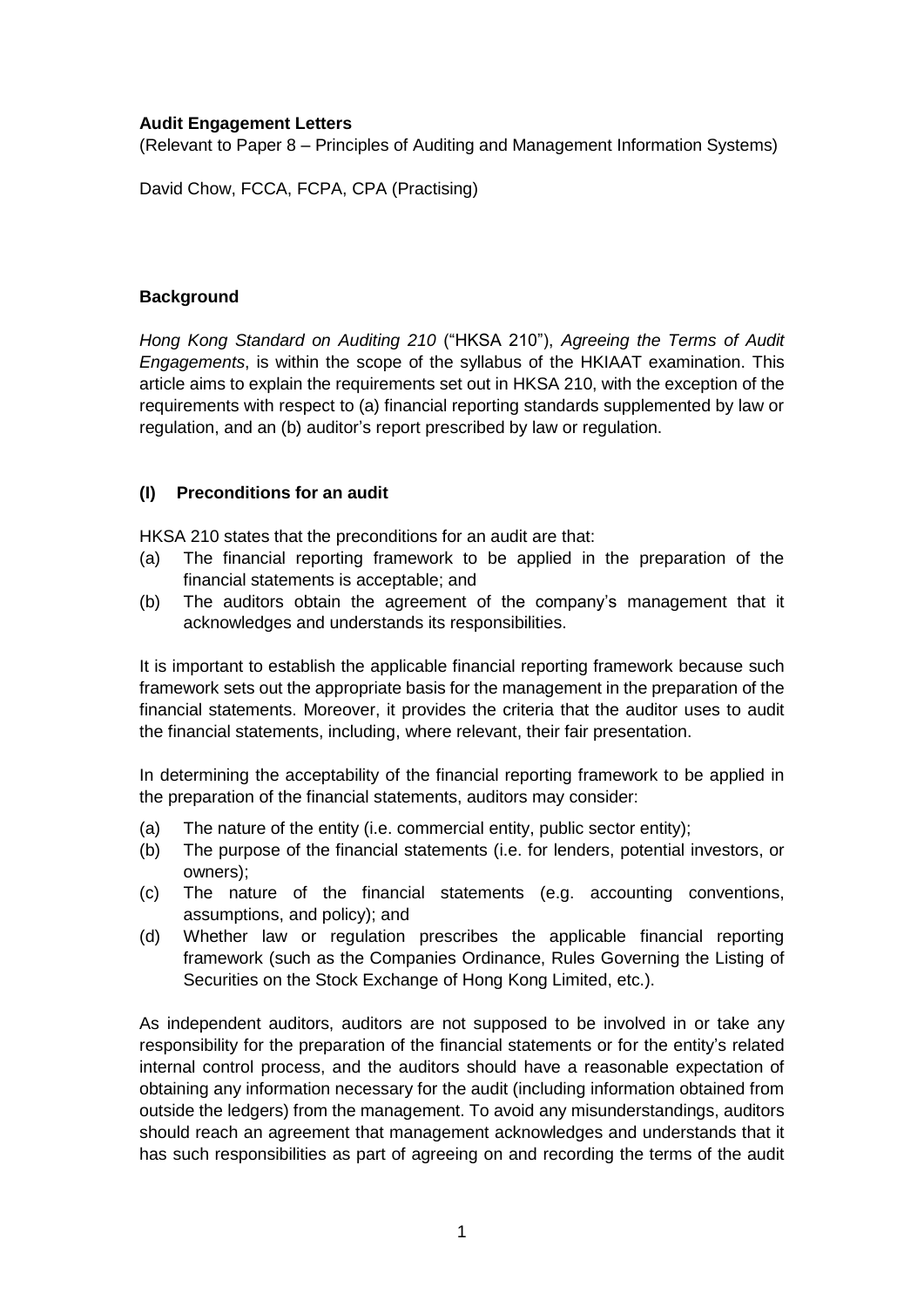#### **Audit Engagement Letters**

(Relevant to Paper 8 – Principles of Auditing and Management Information Systems)

David Chow, FCCA, FCPA, CPA (Practising)

### **Background**

*Hong Kong Standard on Auditing 210* ("HKSA 210"), *Agreeing the Terms of Audit Engagements*, is within the scope of the syllabus of the HKIAAT examination. This article aims to explain the requirements set out in HKSA 210, with the exception of the requirements with respect to (a) financial reporting standards supplemented by law or regulation, and an (b) auditor's report prescribed by law or regulation.

## **(I) Preconditions for an audit**

HKSA 210 states that the preconditions for an audit are that:

- (a) The financial reporting framework to be applied in the preparation of the financial statements is acceptable; and
- (b) The auditors obtain the agreement of the company's management that it acknowledges and understands its responsibilities.

It is important to establish the applicable financial reporting framework because such framework sets out the appropriate basis for the management in the preparation of the financial statements. Moreover, it provides the criteria that the auditor uses to audit the financial statements, including, where relevant, their fair presentation.

In determining the acceptability of the financial reporting framework to be applied in the preparation of the financial statements, auditors may consider:

- (a) The nature of the entity (i.e. commercial entity, public sector entity);
- (b) The purpose of the financial statements (i.e. for lenders, potential investors, or owners);
- (c) The nature of the financial statements (e.g. accounting conventions, assumptions, and policy); and
- (d) Whether law or regulation prescribes the applicable financial reporting framework (such as the Companies Ordinance, Rules Governing the Listing of Securities on the Stock Exchange of Hong Kong Limited, etc.).

As independent auditors, auditors are not supposed to be involved in or take any responsibility for the preparation of the financial statements or for the entity's related internal control process, and the auditors should have a reasonable expectation of obtaining any information necessary for the audit (including information obtained from outside the ledgers) from the management. To avoid any misunderstandings, auditors should reach an agreement that management acknowledges and understands that it has such responsibilities as part of agreeing on and recording the terms of the audit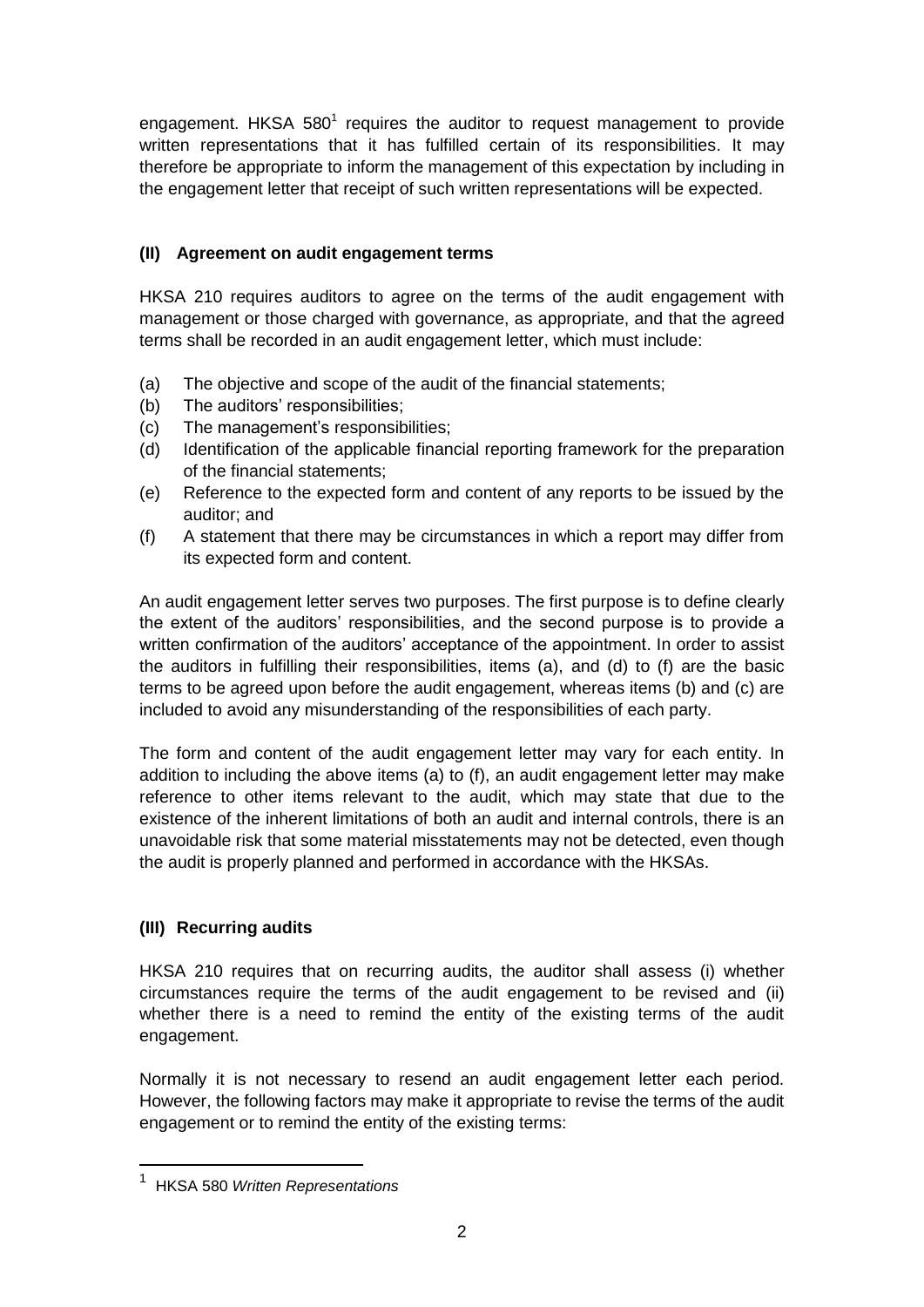engagement. HKSA  $580<sup>1</sup>$  requires the auditor to request management to provide written representations that it has fulfilled certain of its responsibilities. It may therefore be appropriate to inform the management of this expectation by including in the engagement letter that receipt of such written representations will be expected.

## **(II) Agreement on audit engagement terms**

HKSA 210 requires auditors to agree on the terms of the audit engagement with management or those charged with governance, as appropriate, and that the agreed terms shall be recorded in an audit engagement letter, which must include:

- (a) The objective and scope of the audit of the financial statements;
- (b) The auditors' responsibilities;
- (c) The management's responsibilities;
- (d) Identification of the applicable financial reporting framework for the preparation of the financial statements;
- (e) Reference to the expected form and content of any reports to be issued by the auditor; and
- (f) A statement that there may be circumstances in which a report may differ from its expected form and content.

An audit engagement letter serves two purposes. The first purpose is to define clearly the extent of the auditors' responsibilities, and the second purpose is to provide a written confirmation of the auditors' acceptance of the appointment. In order to assist the auditors in fulfilling their responsibilities, items (a), and (d) to (f) are the basic terms to be agreed upon before the audit engagement, whereas items (b) and (c) are included to avoid any misunderstanding of the responsibilities of each party.

The form and content of the audit engagement letter may vary for each entity. In addition to including the above items (a) to (f), an audit engagement letter may make reference to other items relevant to the audit, which may state that due to the existence of the inherent limitations of both an audit and internal controls, there is an unavoidable risk that some material misstatements may not be detected, even though the audit is properly planned and performed in accordance with the HKSAs.

## **(III) Recurring audits**

HKSA 210 requires that on recurring audits, the auditor shall assess (i) whether circumstances require the terms of the audit engagement to be revised and (ii) whether there is a need to remind the entity of the existing terms of the audit engagement.

Normally it is not necessary to resend an audit engagement letter each period. However, the following factors may make it appropriate to revise the terms of the audit engagement or to remind the entity of the existing terms:

 $\overline{a}$ 

<sup>1</sup> HKSA 580 *Written Representations*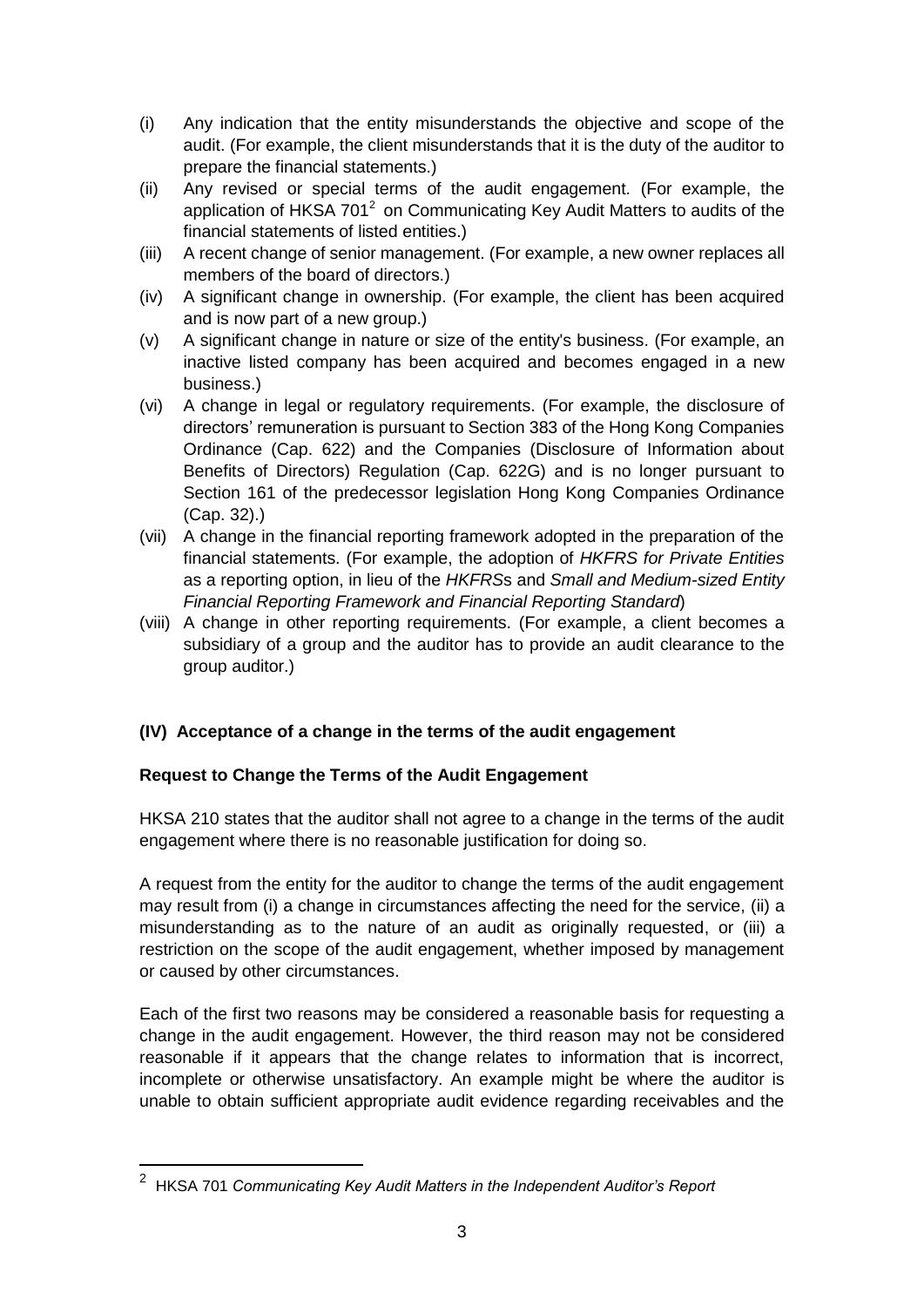- (i) Any indication that the entity misunderstands the objective and scope of the audit. (For example, the client misunderstands that it is the duty of the auditor to prepare the financial statements.)
- (ii) Any revised or special terms of the audit engagement. (For example, the application of HKSA  $701^2$  on Communicating Key Audit Matters to audits of the financial statements of listed entities.)
- (iii) A recent change of senior management. (For example, a new owner replaces all members of the board of directors.)
- (iv) A significant change in ownership. (For example, the client has been acquired and is now part of a new group.)
- (v) A significant change in nature or size of the entity's business. (For example, an inactive listed company has been acquired and becomes engaged in a new business.)
- (vi) A change in legal or regulatory requirements. (For example, the disclosure of directors' remuneration is pursuant to Section 383 of the Hong Kong Companies Ordinance (Cap. 622) and the Companies (Disclosure of Information about Benefits of Directors) Regulation (Cap. 622G) and is no longer pursuant to Section 161 of the predecessor legislation Hong Kong Companies Ordinance (Cap. 32).)
- (vii) A change in the financial reporting framework adopted in the preparation of the financial statements. (For example, the adoption of *HKFRS for Private Entities* as a reporting option, in lieu of the *HKFRS*s and *Small and Medium-sized Entity Financial Reporting Framework and Financial Reporting Standard*)
- (viii) A change in other reporting requirements. (For example, a client becomes a subsidiary of a group and the auditor has to provide an audit clearance to the group auditor.)

# **(IV) Acceptance of a change in the terms of the audit engagement**

## **Request to Change the Terms of the Audit Engagement**

HKSA 210 states that the auditor shall not agree to a change in the terms of the audit engagement where there is no reasonable justification for doing so.

A request from the entity for the auditor to change the terms of the audit engagement may result from (i) a change in circumstances affecting the need for the service, (ii) a misunderstanding as to the nature of an audit as originally requested, or (iii) a restriction on the scope of the audit engagement, whether imposed by management or caused by other circumstances.

Each of the first two reasons may be considered a reasonable basis for requesting a change in the audit engagement. However, the third reason may not be considered reasonable if it appears that the change relates to information that is incorrect, incomplete or otherwise unsatisfactory. An example might be where the auditor is unable to obtain sufficient appropriate audit evidence regarding receivables and the

 $\overline{a}$ 

<sup>2</sup> HKSA 701 *Communicating Key Audit Matters in the Independent Auditor's Report*